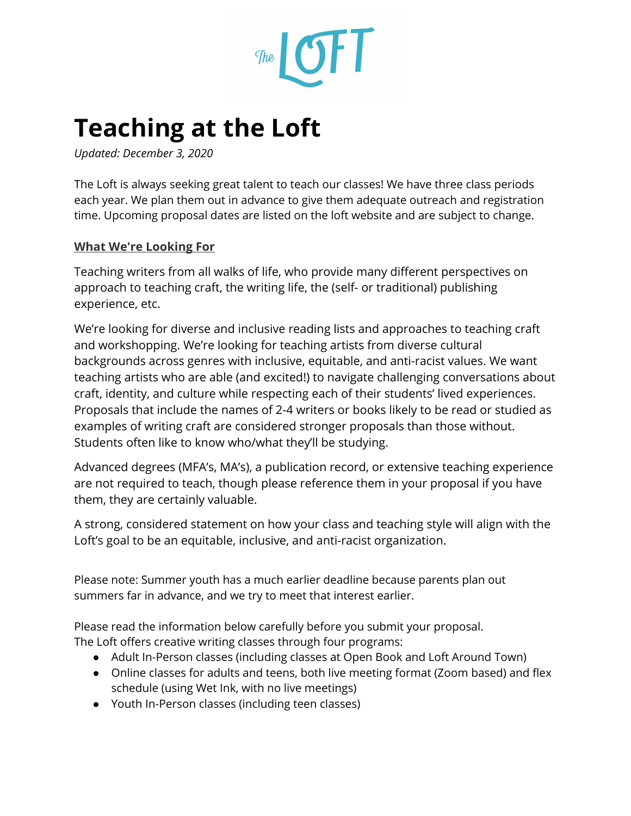

## **Teaching at the Loft**

*Updated: December 3, 2020*

The Loft is always seeking great talent to teach our classes! We have three class periods each year. We plan them out in advance to give them adequate outreach and registration time. Upcoming proposal dates are listed on the loft website and are subject to change.

#### **What We're Looking For**

Teaching writers from all walks of life, who provide many different perspectives on approach to teaching craft, the writing life, the (self- or traditional) publishing experience, etc.

We're looking for diverse and inclusive reading lists and approaches to teaching craft and workshopping. We're looking for teaching artists from diverse cultural backgrounds across genres with inclusive, equitable, and anti-racist values. We want teaching artists who are able (and excited!) to navigate challenging conversations about craft, identity, and culture while respecting each of their students' lived experiences. Proposals that include the names of 2-4 writers or books likely to be read or studied as examples of writing craft are considered stronger proposals than those without. Students often like to know who/what they'll be studying.

Advanced degrees (MFA's, MA's), a publication record, or extensive teaching experience are not required to teach, though please reference them in your proposal if you have them, they are certainly valuable.

A strong, considered statement on how your class and teaching style will align with the Loft's goal to be an equitable, inclusive, and anti-racist organization.

Please note: Summer youth has a much earlier deadline because parents plan out summers far in advance, and we try to meet that interest earlier.

Please read the information below carefully before you submit your proposal. The Loft offers creative writing classes through four programs:

- Adult In-Person classes (including classes at Open Book and Loft Around Town)
- Online classes for adults and teens, both live meeting format (Zoom based) and flex schedule (using Wet Ink, with no live meetings)
- Youth In-Person classes (including teen classes)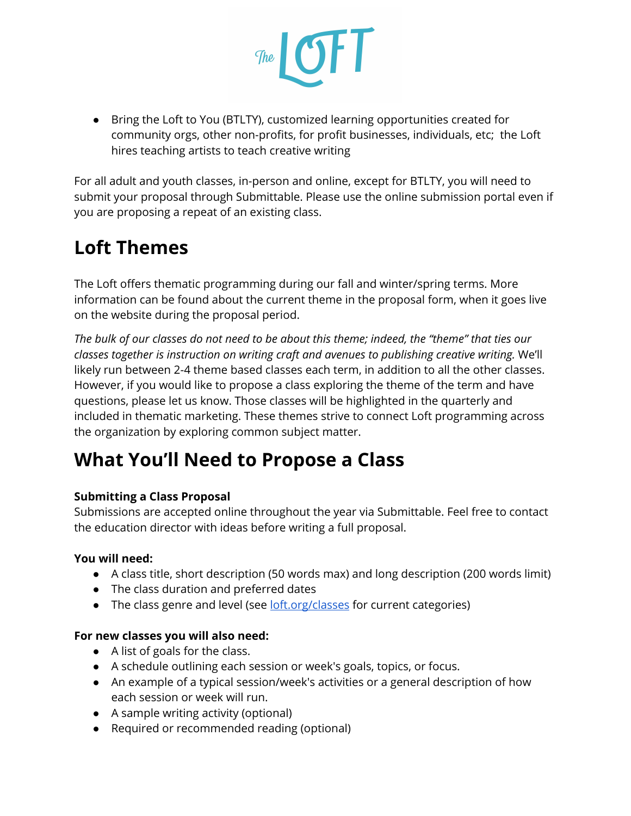

● Bring the Loft to You (BTLTY), customized learning opportunities created for community orgs, other non-profits, for profit businesses, individuals, etc; the Loft hires teaching artists to teach creative writing

For all adult and youth classes, in-person and online, except for BTLTY, you will need to submit your proposal through Submittable. Please use the online submission portal even if you are proposing a repeat of an existing class.

## **Loft Themes**

The Loft offers thematic programming during our fall and winter/spring terms. More information can be found about the current theme in the proposal form, when it goes live on the website during the proposal period.

The bulk of our classes do not need to be about this theme; indeed, the "theme" that ties our *classes together is instruction on writing craft and avenues to publishing creative writing.* We'll likely run between 2-4 theme based classes each term, in addition to all the other classes. However, if you would like to propose a class exploring the theme of the term and have questions, please let us know. Those classes will be highlighted in the quarterly and included in thematic marketing. These themes strive to connect Loft programming across the organization by exploring common subject matter.

## **What You'll Need to Propose a Class**

#### **Submitting a Class Proposal**

Submissions are accepted online throughout the year via Submittable. Feel free to contact the education director with ideas before writing a full proposal.

#### **You will need:**

- A class title, short description (50 words max) and long description (200 words limit)
- The class duration and preferred dates
- The class genre and level (see **[loft.org/classes](http://loft.org/classes)** for current categories)

#### **For new classes you will also need:**

- A list of goals for the class.
- A schedule outlining each session or week's goals, topics, or focus.
- An example of a typical session/week's activities or a general description of how each session or week will run.
- A sample writing activity (optional)
- Required or recommended reading (optional)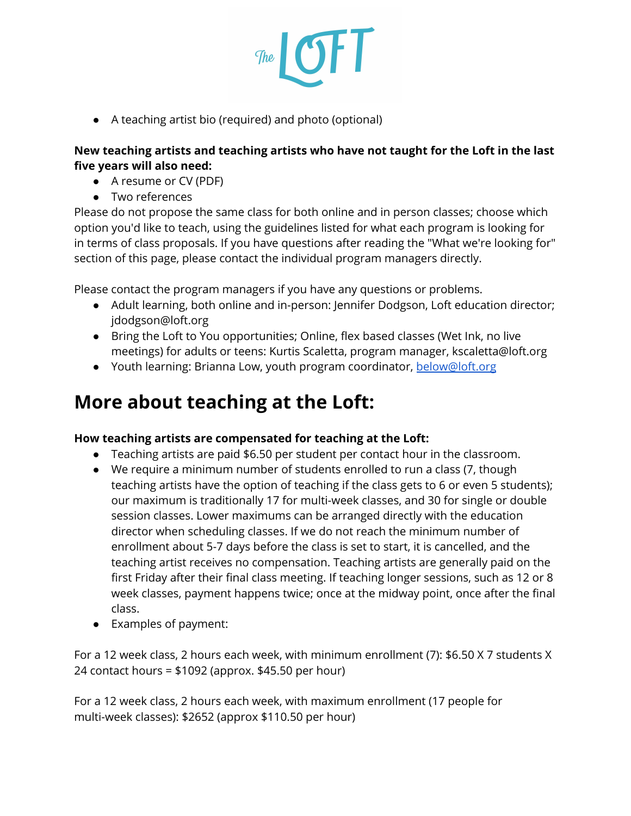

● A teaching artist bio (required) and photo (optional)

#### **New teaching artists and teaching artists who have not taught for the Loft in the last five years will also need:**

- A resume or CV (PDF)
- Two references

Please do not propose the same class for both online and in person classes; choose which option you'd like to teach, using the guidelines listed for what each program is looking for in terms of class proposals. If you have questions after reading the "What we're looking for" section of this page, please contact the individual program managers directly.

Please contact the program managers if you have any questions or problems.

- Adult learning, both online and in-person: Jennifer Dodgson, Loft education director; jdodgson@loft.org
- Bring the Loft to You opportunities; Online, flex based classes (Wet Ink, no live meetings) for adults or teens: Kurtis Scaletta, program manager, kscaletta@loft.org
- Youth learning: Brianna Low, youth program coordinator, [below@loft.org](mailto:below@loft.org)

## **More about teaching at the Loft:**

#### **How teaching artists are compensated for teaching at the Loft:**

- Teaching artists are paid \$6.50 per student per contact hour in the classroom.
- We require a minimum number of students enrolled to run a class (7, though teaching artists have the option of teaching if the class gets to 6 or even 5 students); our maximum is traditionally 17 for multi-week classes, and 30 for single or double session classes. Lower maximums can be arranged directly with the education director when scheduling classes. If we do not reach the minimum number of enrollment about 5-7 days before the class is set to start, it is cancelled, and the teaching artist receives no compensation. Teaching artists are generally paid on the first Friday after their final class meeting. If teaching longer sessions, such as 12 or 8 week classes, payment happens twice; once at the midway point, once after the final class.
- Examples of payment:

For a 12 week class, 2 hours each week, with minimum enrollment (7): \$6.50 X 7 students X 24 contact hours = \$1092 (approx. \$45.50 per hour)

For a 12 week class, 2 hours each week, with maximum enrollment (17 people for multi-week classes): \$2652 (approx \$110.50 per hour)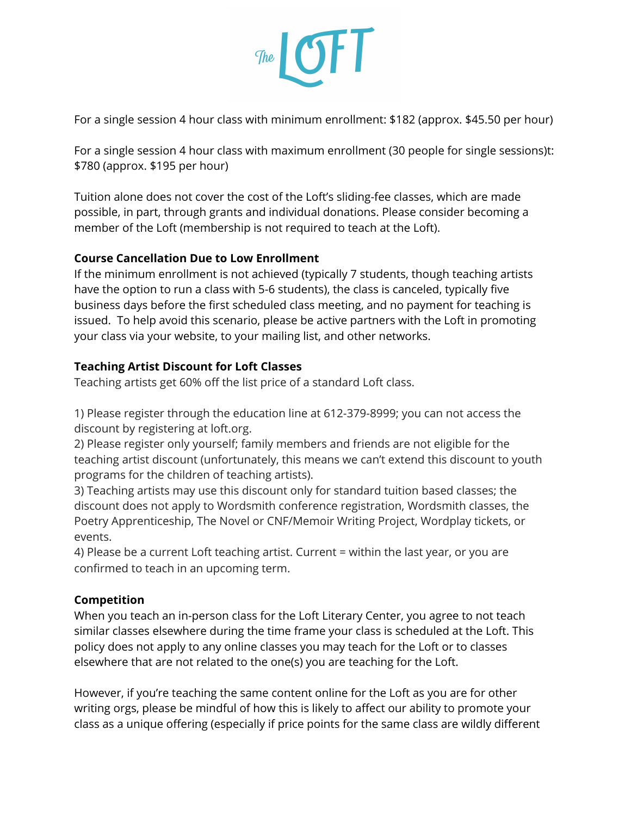

For a single session 4 hour class with minimum enrollment: \$182 (approx. \$45.50 per hour)

For a single session 4 hour class with maximum enrollment (30 people for single sessions)t: \$780 (approx. \$195 per hour)

Tuition alone does not cover the cost of the Loft's sliding-fee classes, which are made possible, in part, through grants and individual donations. Please consider becoming a member of the Loft (membership is not required to teach at the Loft).

#### **Course Cancellation Due to Low Enrollment**

If the minimum enrollment is not achieved (typically 7 students, though teaching artists have the option to run a class with 5-6 students), the class is canceled, typically five business days before the first scheduled class meeting, and no payment for teaching is issued. To help avoid this scenario, please be active partners with the Loft in promoting your class via your website, to your mailing list, and other networks.

#### **Teaching Artist Discount for Loft Classes**

Teaching artists get 60% off the list price of a standard Loft class.

1) Please register through the education line at 612-379-8999; you can not access the discount by registering at loft.org.

2) Please register only yourself; family members and friends are not eligible for the teaching artist discount (unfortunately, this means we can't extend this discount to youth programs for the children of teaching artists).

3) Teaching artists may use this discount only for standard tuition based classes; the discount does not apply to Wordsmith conference registration, Wordsmith classes, the Poetry Apprenticeship, The Novel or CNF/Memoir Writing Project, Wordplay tickets, or events.

4) Please be a current Loft teaching artist. Current = within the last year, or you are confirmed to teach in an upcoming term.

#### **Competition**

When you teach an in-person class for the Loft Literary Center, you agree to not teach similar classes elsewhere during the time frame your class is scheduled at the Loft. This policy does not apply to any online classes you may teach for the Loft or to classes elsewhere that are not related to the one(s) you are teaching for the Loft.

However, if you're teaching the same content online for the Loft as you are for other writing orgs, please be mindful of how this is likely to affect our ability to promote your class as a unique offering (especially if price points for the same class are wildly different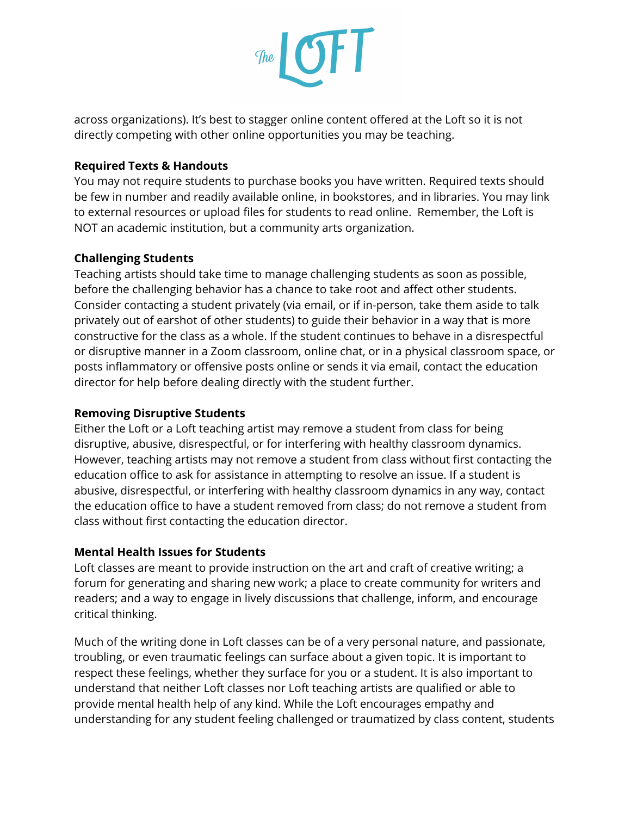

across organizations). It's best to stagger online content offered at the Loft so it is not directly competing with other online opportunities you may be teaching.

#### **Required Texts & Handouts**

You may not require students to purchase books you have written. Required texts should be few in number and readily available online, in bookstores, and in libraries. You may link to external resources or upload files for students to read online. Remember, the Loft is NOT an academic institution, but a community arts organization.

#### **Challenging Students**

Teaching artists should take time to manage challenging students as soon as possible, before the challenging behavior has a chance to take root and affect other students. Consider contacting a student privately (via email, or if in-person, take them aside to talk privately out of earshot of other students) to guide their behavior in a way that is more constructive for the class as a whole. If the student continues to behave in a disrespectful or disruptive manner in a Zoom classroom, online chat, or in a physical classroom space, or posts inflammatory or offensive posts online or sends it via email, contact the education director for help before dealing directly with the student further.

#### **Removing Disruptive Students**

Either the Loft or a Loft teaching artist may remove a student from class for being disruptive, abusive, disrespectful, or for interfering with healthy classroom dynamics. However, teaching artists may not remove a student from class without first contacting the education office to ask for assistance in attempting to resolve an issue. If a student is abusive, disrespectful, or interfering with healthy classroom dynamics in any way, contact the education office to have a student removed from class; do not remove a student from class without first contacting the education director.

#### **Mental Health Issues for Students**

Loft classes are meant to provide instruction on the art and craft of creative writing; a forum for generating and sharing new work; a place to create community for writers and readers; and a way to engage in lively discussions that challenge, inform, and encourage critical thinking.

Much of the writing done in Loft classes can be of a very personal nature, and passionate, troubling, or even traumatic feelings can surface about a given topic. It is important to respect these feelings, whether they surface for you or a student. It is also important to understand that neither Loft classes nor Loft teaching artists are qualified or able to provide mental health help of any kind. While the Loft encourages empathy and understanding for any student feeling challenged or traumatized by class content, students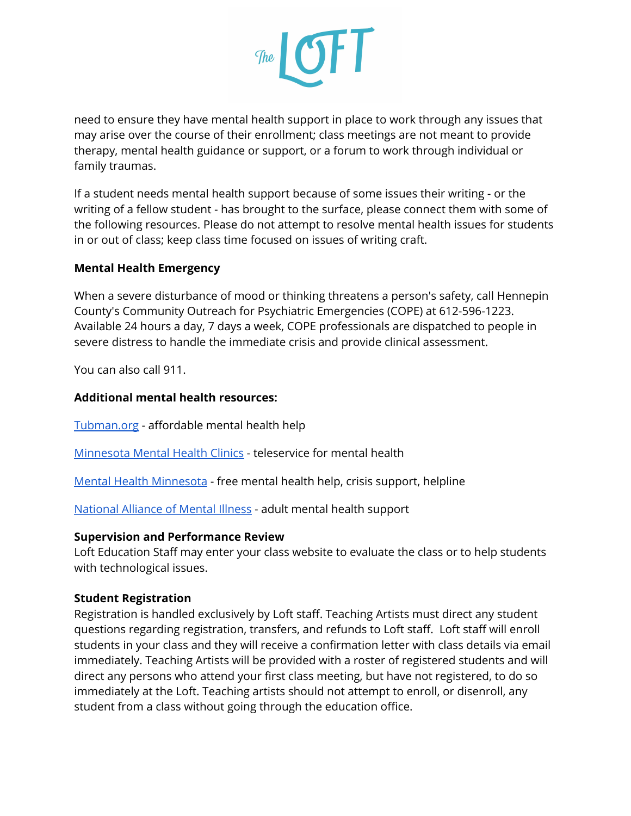

need to ensure they have mental health support in place to work through any issues that may arise over the course of their enrollment; class meetings are not meant to provide therapy, mental health guidance or support, or a forum to work through individual or family traumas.

If a student needs mental health support because of some issues their writing - or the writing of a fellow student - has brought to the surface, please connect them with some of the following resources. Please do not attempt to resolve mental health issues for students in or out of class; keep class time focused on issues of writing craft.

#### **Mental Health Emergency**

When a severe disturbance of mood or thinking threatens a person's safety, call Hennepin County's Community Outreach for Psychiatric Emergencies (COPE) at 612-596-1223. Available 24 hours a day, 7 days a week, COPE professionals are dispatched to people in severe distress to handle the immediate crisis and provide clinical assessment.

You can also call 911.

#### **Additional mental health resources:**

[Tubman.org](https://www.tubman.org/get-help/mental-chemical-health/mental-health.html) - affordable mental health help

[Minnesota](https://mnmentalhealthclinics.com/) Mental Health Clinics - teleservice for mental health

Mental Health [Minnesota](https://mentalhealthmn.org/support/free-mental-health-support/) - free mental health help, crisis support, helpline

[National](https://namimn.org/support/resources/general-mental-health-resources/) Alliance of Mental Illness - adult mental health support

#### **Supervision and Performance Review**

Loft Education Staff may enter your class website to evaluate the class or to help students with technological issues.

#### **Student Registration**

Registration is handled exclusively by Loft staff. Teaching Artists must direct any student questions regarding registration, transfers, and refunds to Loft staff. Loft staff will enroll students in your class and they will receive a confirmation letter with class details via email immediately. Teaching Artists will be provided with a roster of registered students and will direct any persons who attend your first class meeting, but have not registered, to do so immediately at the Loft. Teaching artists should not attempt to enroll, or disenroll, any student from a class without going through the education office.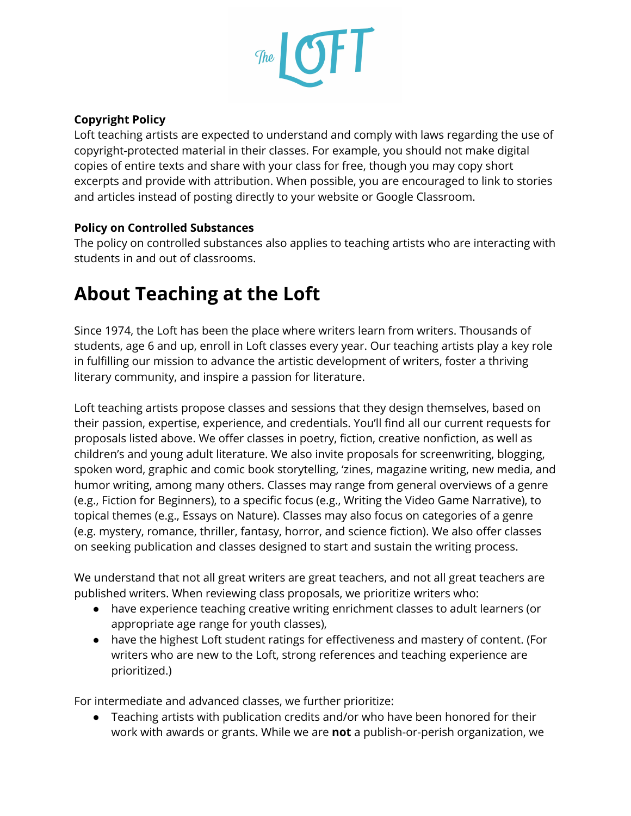

#### **Copyright Policy**

Loft teaching artists are expected to understand and comply with laws regarding the use of copyright-protected material in their classes. For example, you should not make digital copies of entire texts and share with your class for free, though you may copy short excerpts and provide with attribution. When possible, you are encouraged to link to stories and articles instead of posting directly to your website or Google Classroom.

#### **Policy on Controlled Substances**

The policy on controlled substances also applies to teaching artists who are interacting with students in and out of classrooms.

## **About Teaching at the Loft**

Since 1974, the Loft has been the place where writers learn from writers. Thousands of students, age 6 and up, enroll in Loft classes every year. Our teaching artists play a key role in fulfilling our mission to advance the artistic development of writers, foster a thriving literary community, and inspire a passion for literature.

Loft teaching artists propose classes and sessions that they design themselves, based on their passion, expertise, experience, and credentials. You'll find all our current requests for proposals listed above. We offer classes in poetry, fiction, creative nonfiction, as well as children's and young adult literature. We also invite proposals for screenwriting, blogging, spoken word, graphic and comic book storytelling, 'zines, magazine writing, new media, and humor writing, among many others. Classes may range from general overviews of a genre (e.g., Fiction for Beginners), to a specific focus (e.g., Writing the Video Game Narrative), to topical themes (e.g., Essays on Nature). Classes may also focus on categories of a genre (e.g. mystery, romance, thriller, fantasy, horror, and science fiction). We also offer classes on seeking publication and classes designed to start and sustain the writing process.

We understand that not all great writers are great teachers, and not all great teachers are published writers. When reviewing class proposals, we prioritize writers who:

- have experience teaching creative writing enrichment classes to adult learners (or appropriate age range for youth classes),
- have the highest Loft student ratings for effectiveness and mastery of content. (For writers who are new to the Loft, strong references and teaching experience are prioritized.)

For intermediate and advanced classes, we further prioritize:

● Teaching artists with publication credits and/or who have been honored for their work with awards or grants. While we are **not** a publish-or-perish organization, we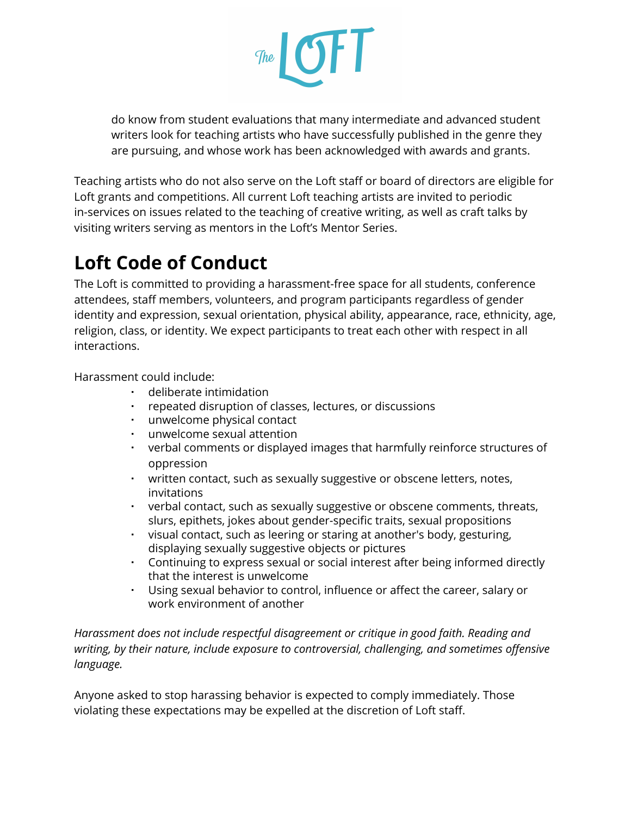

do know from student evaluations that many intermediate and advanced student writers look for teaching artists who have successfully published in the genre they are pursuing, and whose work has been acknowledged with awards and grants.

Teaching artists who do not also serve on the Loft staff or board of directors are eligible for Loft grants and competitions. All current Loft teaching artists are invited to periodic in-services on issues related to the teaching of creative writing, as well as craft talks by visiting writers serving as mentors in the Loft's Mentor Series.

## **Loft Code of Conduct**

The Loft is committed to providing a harassment-free space for all students, conference attendees, staff members, volunteers, and program participants regardless of gender identity and expression, sexual orientation, physical ability, appearance, race, ethnicity, age, religion, class, or identity. We expect participants to treat each other with respect in all interactions.

Harassment could include:

- deliberate intimidation
- repeated disruption of classes, lectures, or discussions
- unwelcome physical contact
- unwelcome sexual attention
- verbal comments or displayed images that harmfully reinforce structures of oppression
- written contact, such as sexually suggestive or obscene letters, notes, invitations
- verbal contact, such as sexually suggestive or obscene comments, threats, slurs, epithets, jokes about gender-specific traits, sexual propositions
- visual contact, such as leering or staring at another's body, gesturing, displaying sexually suggestive objects or pictures
- Continuing to express sexual or social interest after being informed directly that the interest is unwelcome
- Using sexual behavior to control, influence or affect the career, salary or work environment of another

*Harassment does not include respectful disagreement or critique in good faith. Reading and writing, by their nature, include exposure to controversial, challenging, and sometimes offensive language.*

Anyone asked to stop harassing behavior is expected to comply immediately. Those violating these expectations may be expelled at the discretion of Loft staff.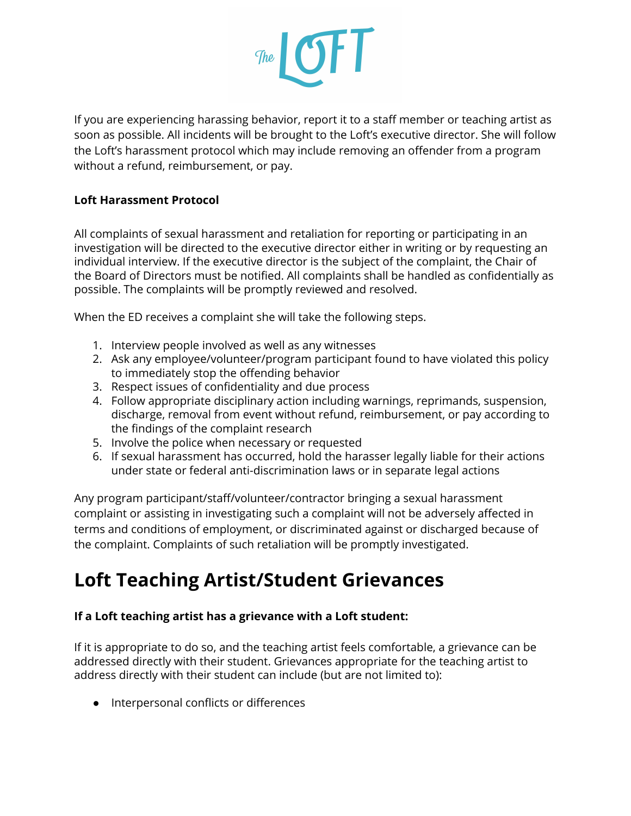

If you are experiencing harassing behavior, report it to a staff member or teaching artist as soon as possible. All incidents will be brought to the Loft's executive director. She will follow the Loft's harassment protocol which may include removing an offender from a program without a refund, reimbursement, or pay.

#### **Loft Harassment Protocol**

All complaints of sexual harassment and retaliation for reporting or participating in an investigation will be directed to the executive director either in writing or by requesting an individual interview. If the executive director is the subject of the complaint, the Chair of the Board of Directors must be notified. All complaints shall be handled as confidentially as possible. The complaints will be promptly reviewed and resolved.

When the ED receives a complaint she will take the following steps.

- 1. Interview people involved as well as any witnesses
- 2. Ask any employee/volunteer/program participant found to have violated this policy to immediately stop the offending behavior
- 3. Respect issues of confidentiality and due process
- 4. Follow appropriate disciplinary action including warnings, reprimands, suspension, discharge, removal from event without refund, reimbursement, or pay according to the findings of the complaint research
- 5. Involve the police when necessary or requested
- 6. If sexual harassment has occurred, hold the harasser legally liable for their actions under state or federal anti-discrimination laws or in separate legal actions

Any program participant/staff/volunteer/contractor bringing a sexual harassment complaint or assisting in investigating such a complaint will not be adversely affected in terms and conditions of employment, or discriminated against or discharged because of the complaint. Complaints of such retaliation will be promptly investigated.

### **Loft Teaching Artist/Student Grievances**

#### **If a Loft teaching artist has a grievance with a Loft student:**

If it is appropriate to do so, and the teaching artist feels comfortable, a grievance can be addressed directly with their student. Grievances appropriate for the teaching artist to address directly with their student can include (but are not limited to):

● Interpersonal conflicts or differences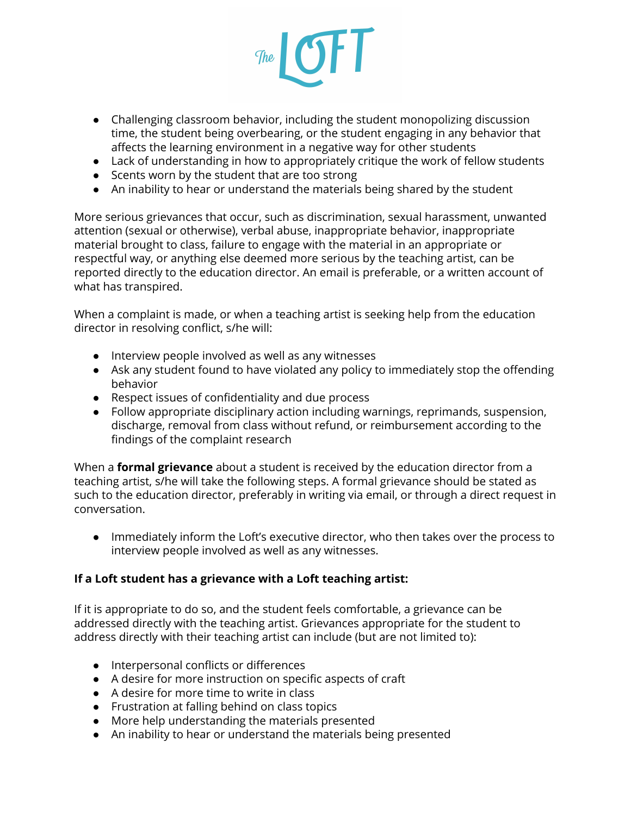

- Challenging classroom behavior, including the student monopolizing discussion time, the student being overbearing, or the student engaging in any behavior that affects the learning environment in a negative way for other students
- Lack of understanding in how to appropriately critique the work of fellow students
- Scents worn by the student that are too strong
- An inability to hear or understand the materials being shared by the student

More serious grievances that occur, such as discrimination, sexual harassment, unwanted attention (sexual or otherwise), verbal abuse, inappropriate behavior, inappropriate material brought to class, failure to engage with the material in an appropriate or respectful way, or anything else deemed more serious by the teaching artist, can be reported directly to the education director. An email is preferable, or a written account of what has transpired.

When a complaint is made, or when a teaching artist is seeking help from the education director in resolving conflict, s/he will:

- Interview people involved as well as any witnesses
- Ask any student found to have violated any policy to immediately stop the offending behavior
- Respect issues of confidentiality and due process
- Follow appropriate disciplinary action including warnings, reprimands, suspension, discharge, removal from class without refund, or reimbursement according to the findings of the complaint research

When a **formal grievance** about a student is received by the education director from a teaching artist, s/he will take the following steps. A formal grievance should be stated as such to the education director, preferably in writing via email, or through a direct request in conversation.

● Immediately inform the Loft's executive director, who then takes over the process to interview people involved as well as any witnesses.

#### **If a Loft student has a grievance with a Loft teaching artist:**

If it is appropriate to do so, and the student feels comfortable, a grievance can be addressed directly with the teaching artist. Grievances appropriate for the student to address directly with their teaching artist can include (but are not limited to):

- Interpersonal conflicts or differences
- A desire for more instruction on specific aspects of craft
- A desire for more time to write in class
- Frustration at falling behind on class topics
- More help understanding the materials presented
- An inability to hear or understand the materials being presented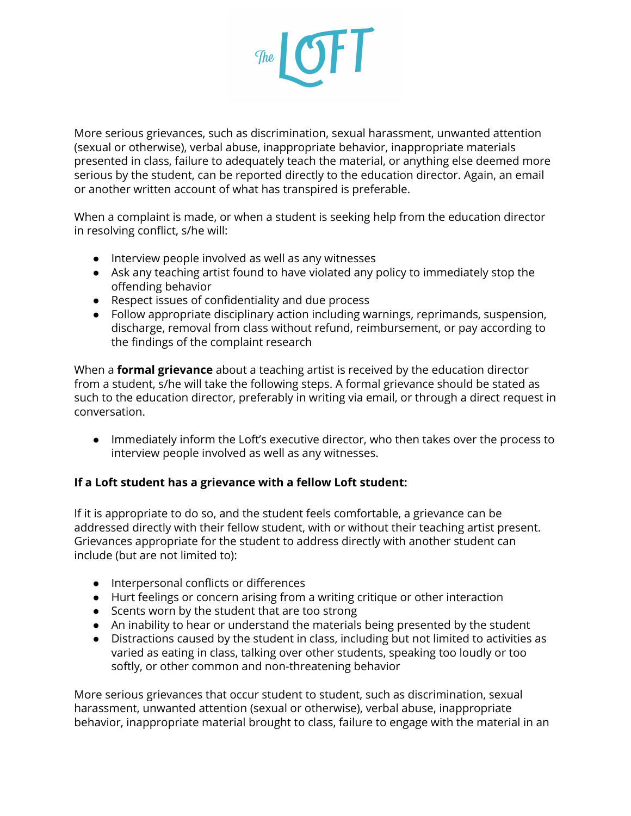

More serious grievances, such as discrimination, sexual harassment, unwanted attention (sexual or otherwise), verbal abuse, inappropriate behavior, inappropriate materials presented in class, failure to adequately teach the material, or anything else deemed more serious by the student, can be reported directly to the education director. Again, an email or another written account of what has transpired is preferable.

When a complaint is made, or when a student is seeking help from the education director in resolving conflict, s/he will:

- Interview people involved as well as any witnesses
- Ask any teaching artist found to have violated any policy to immediately stop the offending behavior
- Respect issues of confidentiality and due process
- Follow appropriate disciplinary action including warnings, reprimands, suspension, discharge, removal from class without refund, reimbursement, or pay according to the findings of the complaint research

When a **formal grievance** about a teaching artist is received by the education director from a student, s/he will take the following steps. A formal grievance should be stated as such to the education director, preferably in writing via email, or through a direct request in conversation.

● Immediately inform the Loft's executive director, who then takes over the process to interview people involved as well as any witnesses.

#### **If a Loft student has a grievance with a fellow Loft student:**

If it is appropriate to do so, and the student feels comfortable, a grievance can be addressed directly with their fellow student, with or without their teaching artist present. Grievances appropriate for the student to address directly with another student can include (but are not limited to):

- Interpersonal conflicts or differences
- Hurt feelings or concern arising from a writing critique or other interaction
- Scents worn by the student that are too strong
- An inability to hear or understand the materials being presented by the student
- Distractions caused by the student in class, including but not limited to activities as varied as eating in class, talking over other students, speaking too loudly or too softly, or other common and non-threatening behavior

More serious grievances that occur student to student, such as discrimination, sexual harassment, unwanted attention (sexual or otherwise), verbal abuse, inappropriate behavior, inappropriate material brought to class, failure to engage with the material in an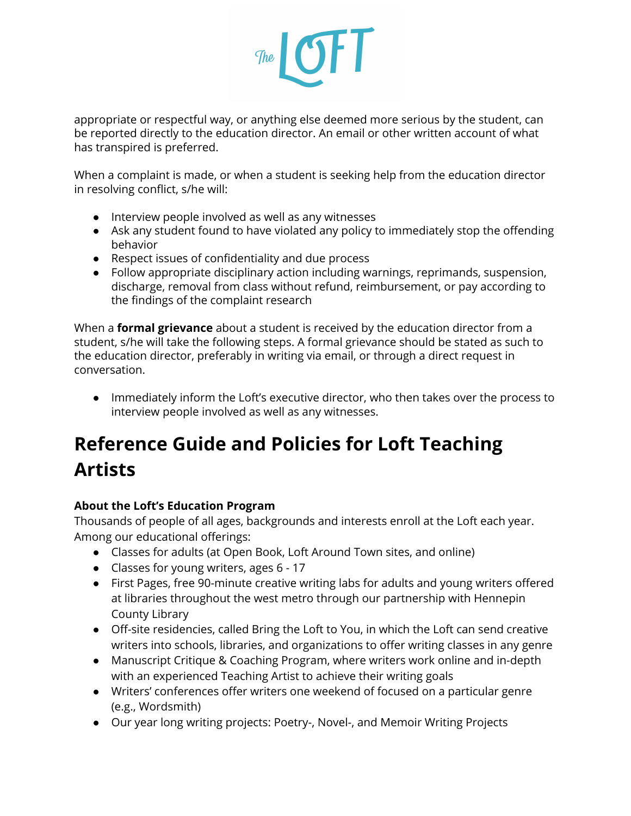

appropriate or respectful way, or anything else deemed more serious by the student, can be reported directly to the education director. An email or other written account of what has transpired is preferred.

When a complaint is made, or when a student is seeking help from the education director in resolving conflict, s/he will:

- Interview people involved as well as any witnesses
- Ask any student found to have violated any policy to immediately stop the offending behavior
- Respect issues of confidentiality and due process
- Follow appropriate disciplinary action including warnings, reprimands, suspension, discharge, removal from class without refund, reimbursement, or pay according to the findings of the complaint research

When a **formal grievance** about a student is received by the education director from a student, s/he will take the following steps. A formal grievance should be stated as such to the education director, preferably in writing via email, or through a direct request in conversation.

● Immediately inform the Loft's executive director, who then takes over the process to interview people involved as well as any witnesses.

## **Reference Guide and Policies for Loft Teaching Artists**

#### **About the Loft's Education Program**

Thousands of people of all ages, backgrounds and interests enroll at the Loft each year. Among our educational offerings:

- Classes for adults (at Open Book, Loft Around Town sites, and online)
- Classes for young writers, ages 6 17
- First Pages, free 90-minute creative writing labs for adults and young writers offered at libraries throughout the west metro through our partnership with Hennepin County Library
- Off-site residencies, called Bring the Loft to You, in which the Loft can send creative writers into schools, libraries, and organizations to offer writing classes in any genre
- Manuscript Critique & Coaching Program, where writers work online and in-depth with an experienced Teaching Artist to achieve their writing goals
- Writers' conferences offer writers one weekend of focused on a particular genre (e.g., Wordsmith)
- Our year long writing projects: Poetry-, Novel-, and Memoir Writing Projects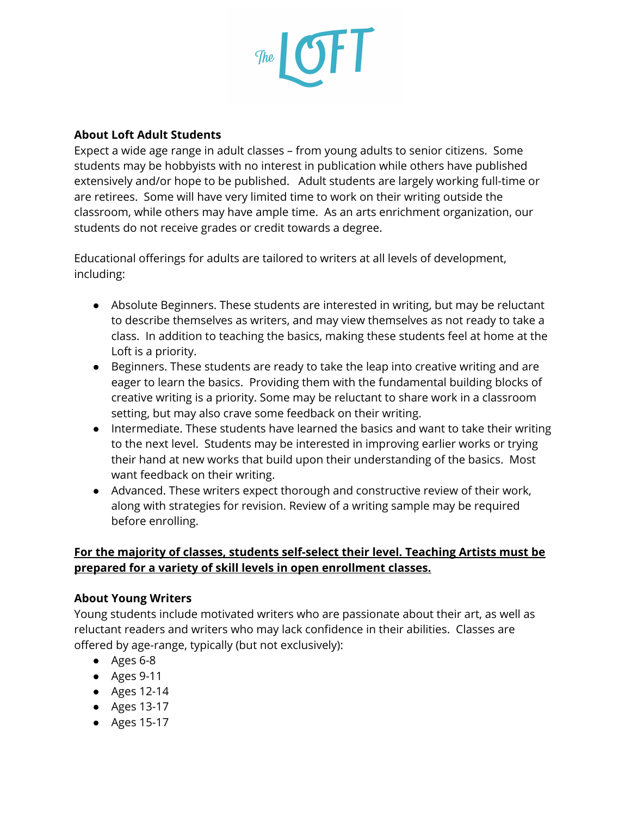

#### **About Loft Adult Students**

Expect a wide age range in adult classes – from young adults to senior citizens. Some students may be hobbyists with no interest in publication while others have published extensively and/or hope to be published. Adult students are largely working full-time or are retirees. Some will have very limited time to work on their writing outside the classroom, while others may have ample time. As an arts enrichment organization, our students do not receive grades or credit towards a degree.

Educational offerings for adults are tailored to writers at all levels of development, including:

- Absolute Beginners. These students are interested in writing, but may be reluctant to describe themselves as writers, and may view themselves as not ready to take a class. In addition to teaching the basics, making these students feel at home at the Loft is a priority.
- Beginners. These students are ready to take the leap into creative writing and are eager to learn the basics. Providing them with the fundamental building blocks of creative writing is a priority. Some may be reluctant to share work in a classroom setting, but may also crave some feedback on their writing.
- Intermediate. These students have learned the basics and want to take their writing to the next level. Students may be interested in improving earlier works or trying their hand at new works that build upon their understanding of the basics. Most want feedback on their writing.
- Advanced. These writers expect thorough and constructive review of their work, along with strategies for revision. Review of a writing sample may be required before enrolling.

#### **For the majority of classes, students self-select their level. Teaching Artists must be prepared for a variety of skill levels in open enrollment classes.**

#### **About Young Writers**

Young students include motivated writers who are passionate about their art, as well as reluctant readers and writers who may lack confidence in their abilities. Classes are offered by age-range, typically (but not exclusively):

- Ages 6-8
- Ages 9-11
- Ages 12-14
- Ages 13-17
- Ages 15-17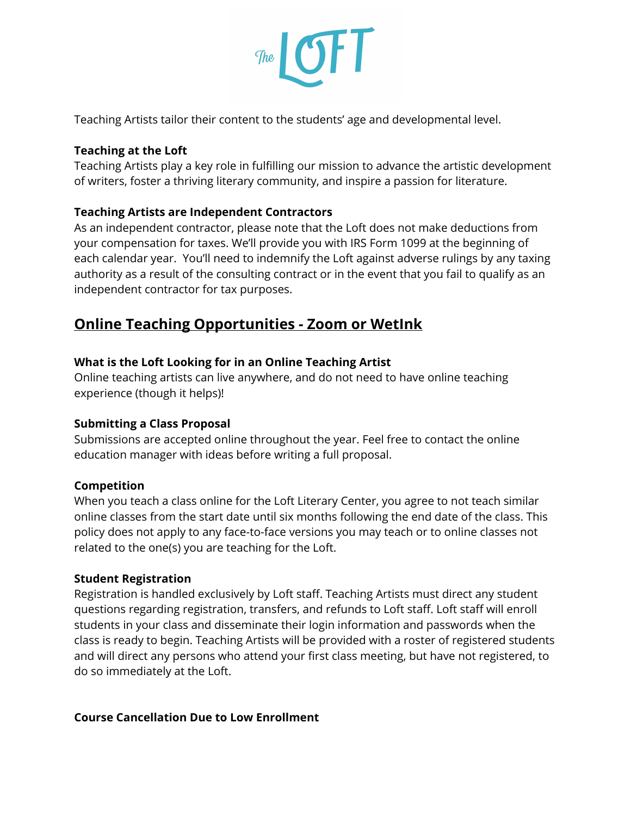

Teaching Artists tailor their content to the students' age and developmental level.

#### **Teaching at the Loft**

Teaching Artists play a key role in fulfilling our mission to advance the artistic development of writers, foster a thriving literary community, and inspire a passion for literature.

#### **Teaching Artists are Independent Contractors**

As an independent contractor, please note that the Loft does not make deductions from your compensation for taxes. We'll provide you with IRS Form 1099 at the beginning of each calendar year. You'll need to indemnify the Loft against adverse rulings by any taxing authority as a result of the consulting contract or in the event that you fail to qualify as an independent contractor for tax purposes.

#### **Online Teaching Opportunities - Zoom or WetInk**

#### **What is the Loft Looking for in an Online Teaching Artist**

Online teaching artists can live anywhere, and do not need to have online teaching experience (though it helps)!

#### **Submitting a Class Proposal**

Submissions are accepted online throughout the year. Feel free to contact the online education manager with ideas before writing a full proposal.

#### **Competition**

When you teach a class online for the Loft Literary Center, you agree to not teach similar online classes from the start date until six months following the end date of the class. This policy does not apply to any face-to-face versions you may teach or to online classes not related to the one(s) you are teaching for the Loft.

#### **Student Registration**

Registration is handled exclusively by Loft staff. Teaching Artists must direct any student questions regarding registration, transfers, and refunds to Loft staff. Loft staff will enroll students in your class and disseminate their login information and passwords when the class is ready to begin. Teaching Artists will be provided with a roster of registered students and will direct any persons who attend your first class meeting, but have not registered, to do so immediately at the Loft.

#### **Course Cancellation Due to Low Enrollment**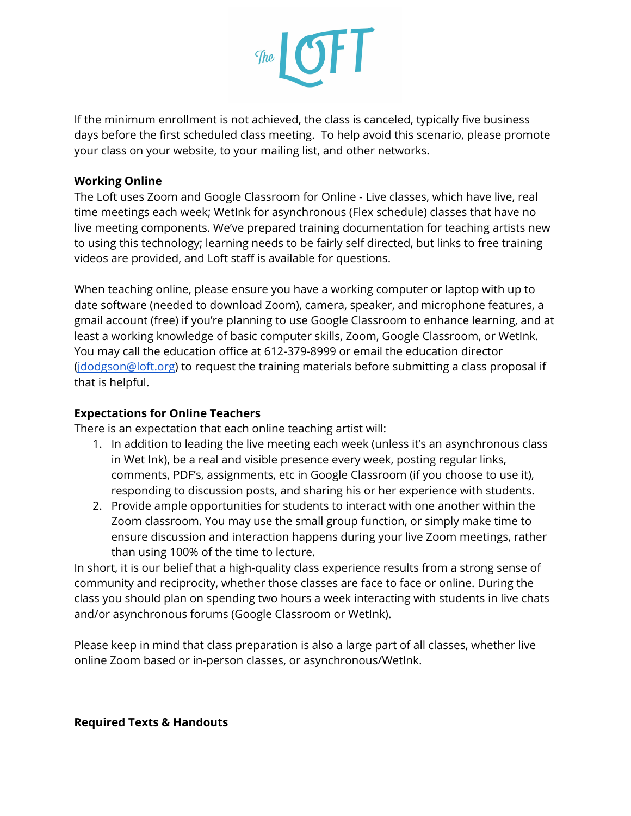

If the minimum enrollment is not achieved, the class is canceled, typically five business days before the first scheduled class meeting. To help avoid this scenario, please promote your class on your website, to your mailing list, and other networks.

#### **Working Online**

The Loft uses Zoom and Google Classroom for Online - Live classes, which have live, real time meetings each week; WetInk for asynchronous (Flex schedule) classes that have no live meeting components. We've prepared training documentation for teaching artists new to using this technology; learning needs to be fairly self directed, but links to free training videos are provided, and Loft staff is available for questions.

When teaching online, please ensure you have a working computer or laptop with up to date software (needed to download Zoom), camera, speaker, and microphone features, a gmail account (free) if you're planning to use Google Classroom to enhance learning, and at least a working knowledge of basic computer skills, Zoom, Google Classroom, or WetInk. You may call the education office at 612-379-8999 or email the education director [\(jdodgson@loft.org\)](mailto:jdodgson@loft.org) to request the training materials before submitting a class proposal if that is helpful.

#### **Expectations for Online Teachers**

There is an expectation that each online teaching artist will:

- 1. In addition to leading the live meeting each week (unless it's an asynchronous class in Wet Ink), be a real and visible presence every week, posting regular links, comments, PDF's, assignments, etc in Google Classroom (if you choose to use it), responding to discussion posts, and sharing his or her experience with students.
- 2. Provide ample opportunities for students to interact with one another within the Zoom classroom. You may use the small group function, or simply make time to ensure discussion and interaction happens during your live Zoom meetings, rather than using 100% of the time to lecture.

In short, it is our belief that a high-quality class experience results from a strong sense of community and reciprocity, whether those classes are face to face or online. During the class you should plan on spending two hours a week interacting with students in live chats and/or asynchronous forums (Google Classroom or WetInk).

Please keep in mind that class preparation is also a large part of all classes, whether live online Zoom based or in-person classes, or asynchronous/WetInk.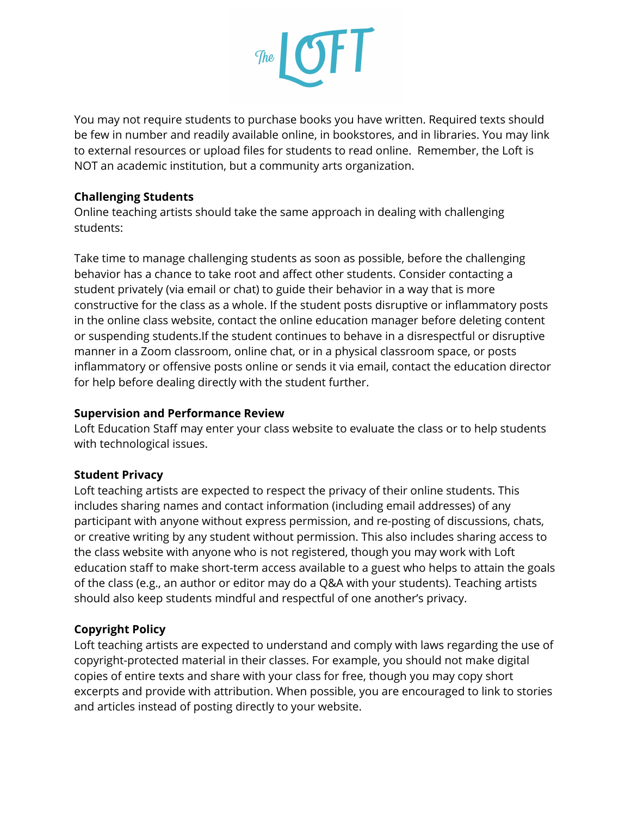

You may not require students to purchase books you have written. Required texts should be few in number and readily available online, in bookstores, and in libraries. You may link to external resources or upload files for students to read online. Remember, the Loft is NOT an academic institution, but a community arts organization.

#### **Challenging Students**

Online teaching artists should take the same approach in dealing with challenging students:

Take time to manage challenging students as soon as possible, before the challenging behavior has a chance to take root and affect other students. Consider contacting a student privately (via email or chat) to guide their behavior in a way that is more constructive for the class as a whole. If the student posts disruptive or inflammatory posts in the online class website, contact the online education manager before deleting content or suspending students.If the student continues to behave in a disrespectful or disruptive manner in a Zoom classroom, online chat, or in a physical classroom space, or posts inflammatory or offensive posts online or sends it via email, contact the education director for help before dealing directly with the student further.

#### **Supervision and Performance Review**

Loft Education Staff may enter your class website to evaluate the class or to help students with technological issues.

#### **Student Privacy**

Loft teaching artists are expected to respect the privacy of their online students. This includes sharing names and contact information (including email addresses) of any participant with anyone without express permission, and re-posting of discussions, chats, or creative writing by any student without permission. This also includes sharing access to the class website with anyone who is not registered, though you may work with Loft education staff to make short-term access available to a guest who helps to attain the goals of the class (e.g., an author or editor may do a Q&A with your students). Teaching artists should also keep students mindful and respectful of one another's privacy.

#### **Copyright Policy**

Loft teaching artists are expected to understand and comply with laws regarding the use of copyright-protected material in their classes. For example, you should not make digital copies of entire texts and share with your class for free, though you may copy short excerpts and provide with attribution. When possible, you are encouraged to link to stories and articles instead of posting directly to your website.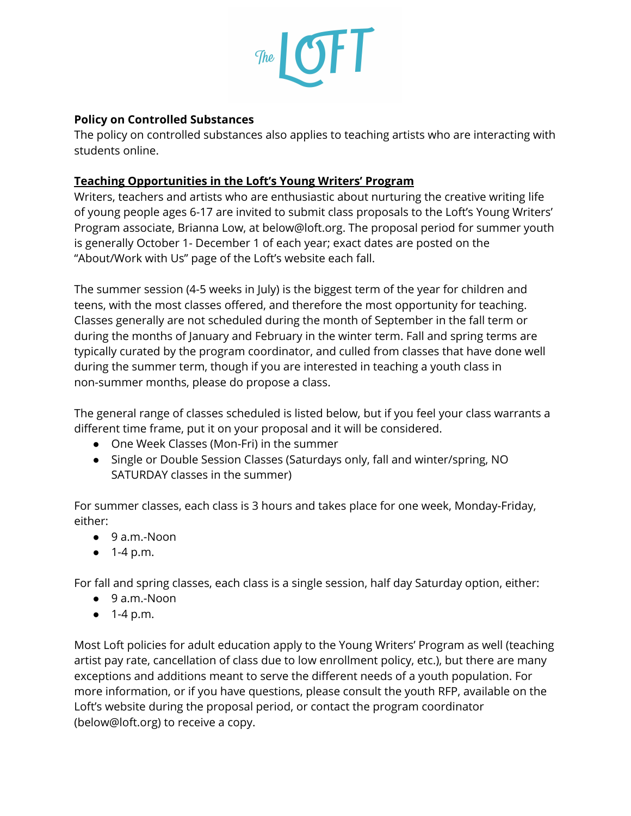

#### **Policy on Controlled Substances**

The policy on controlled substances also applies to teaching artists who are interacting with students online.

#### **Teaching Opportunities in the Loft's Young Writers' Program**

Writers, teachers and artists who are enthusiastic about nurturing the creative writing life of young people ages 6-17 are invited to submit class proposals to the Loft's Young Writers' Program associate, Brianna Low, at below@loft.org. The proposal period for summer youth is generally October 1- December 1 of each year; exact dates are posted on the "About/Work with Us" page of the Loft's website each fall.

The summer session (4-5 weeks in July) is the biggest term of the year for children and teens, with the most classes offered, and therefore the most opportunity for teaching. Classes generally are not scheduled during the month of September in the fall term or during the months of January and February in the winter term. Fall and spring terms are typically curated by the program coordinator, and culled from classes that have done well during the summer term, though if you are interested in teaching a youth class in non-summer months, please do propose a class.

The general range of classes scheduled is listed below, but if you feel your class warrants a different time frame, put it on your proposal and it will be considered.

- One Week Classes (Mon-Fri) in the summer
- Single or Double Session Classes (Saturdays only, fall and winter/spring, NO SATURDAY classes in the summer)

For summer classes, each class is 3 hours and takes place for one week, Monday-Friday, either:

- 9 a.m.-Noon
- $\bullet$  1-4 p.m.

For fall and spring classes, each class is a single session, half day Saturday option, either:

- 9 a.m.-Noon
- $\bullet$  1-4 p.m.

Most Loft policies for adult education apply to the Young Writers' Program as well (teaching artist pay rate, cancellation of class due to low enrollment policy, etc.), but there are many exceptions and additions meant to serve the different needs of a youth population. For more information, or if you have questions, please consult the youth RFP, available on the Loft's website during the proposal period, or contact the program coordinator (below@loft.org) to receive a copy.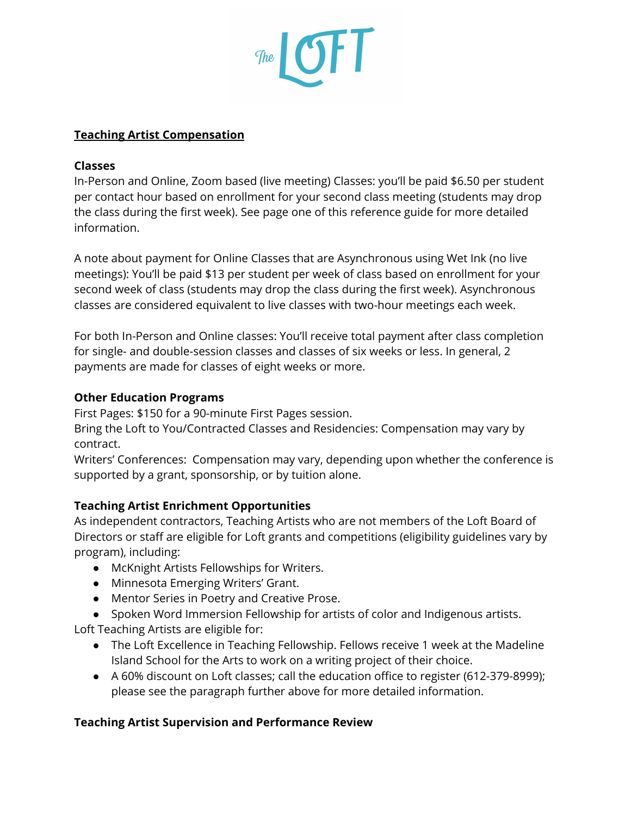

#### **Teaching Artist Compensation**

#### **Classes**

In-Person and Online, Zoom based (live meeting) Classes: you'll be paid \$6.50 per student per contact hour based on enrollment for your second class meeting (students may drop the class during the first week). See page one of this reference guide for more detailed information.

A note about payment for Online Classes that are Asynchronous using Wet Ink (no live meetings): You'll be paid \$13 per student per week of class based on enrollment for your second week of class (students may drop the class during the first week). Asynchronous classes are considered equivalent to live classes with two-hour meetings each week.

For both In-Person and Online classes: You'll receive total payment after class completion for single- and double-session classes and classes of six weeks or less. In general, 2 payments are made for classes of eight weeks or more.

#### **Other Education Programs**

First Pages: \$150 for a 90-minute First Pages session.

Bring the Loft to You/Contracted Classes and Residencies: Compensation may vary by contract.

Writers' Conferences: Compensation may vary, depending upon whether the conference is supported by a grant, sponsorship, or by tuition alone.

#### **Teaching Artist Enrichment Opportunities**

As independent contractors, Teaching Artists who are not members of the Loft Board of Directors or staff are eligible for Loft grants and competitions (eligibility guidelines vary by program), including:

- McKnight Artists Fellowships for Writers.
- Minnesota Emerging Writers' Grant.
- Mentor Series in Poetry and Creative Prose.

● Spoken Word Immersion Fellowship for artists of color and Indigenous artists. Loft Teaching Artists are eligible for:

- The Loft Excellence in Teaching Fellowship. Fellows receive 1 week at the Madeline Island School for the Arts to work on a writing project of their choice.
- A 60% discount on Loft classes; call the education office to register (612-379-8999); please see the paragraph further above for more detailed information.

#### **Teaching Artist Supervision and Performance Review**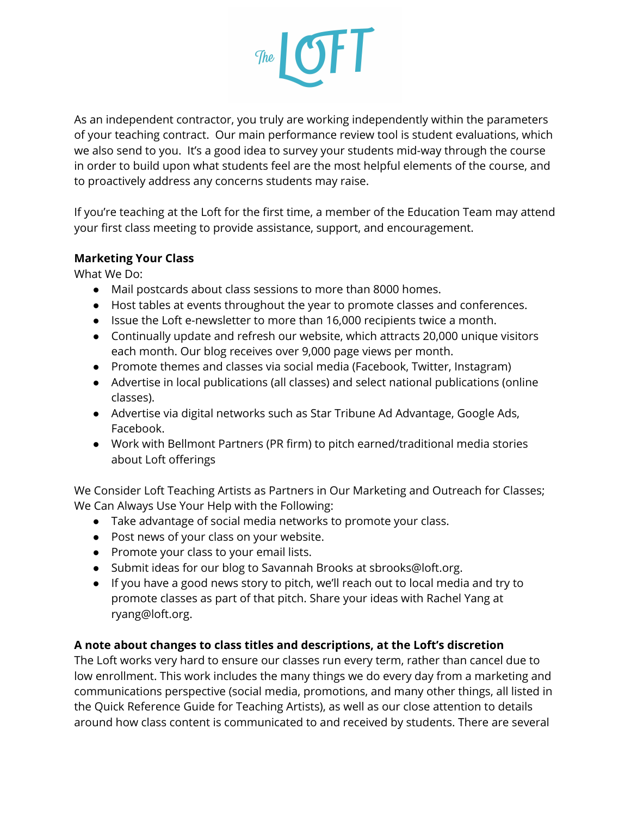

As an independent contractor, you truly are working independently within the parameters of your teaching contract. Our main performance review tool is student evaluations, which we also send to you. It's a good idea to survey your students mid-way through the course in order to build upon what students feel are the most helpful elements of the course, and to proactively address any concerns students may raise.

If you're teaching at the Loft for the first time, a member of the Education Team may attend your first class meeting to provide assistance, support, and encouragement.

#### **Marketing Your Class**

What We Do:

- Mail postcards about class sessions to more than 8000 homes.
- Host tables at events throughout the year to promote classes and conferences.
- Issue the Loft e-newsletter to more than 16,000 recipients twice a month.
- Continually update and refresh our website, which attracts 20,000 unique visitors each month. Our blog receives over 9,000 page views per month.
- Promote themes and classes via social media (Facebook, Twitter, Instagram)
- Advertise in local publications (all classes) and select national publications (online classes).
- Advertise via digital networks such as Star Tribune Ad Advantage, Google Ads, Facebook.
- Work with Bellmont Partners (PR firm) to pitch earned/traditional media stories about Loft offerings

We Consider Loft Teaching Artists as Partners in Our Marketing and Outreach for Classes; We Can Always Use Your Help with the Following:

- Take advantage of social media networks to promote your class.
- Post news of your class on your website.
- Promote your class to your email lists.
- Submit ideas for our blog to Savannah Brooks at sbrooks@loft.org.
- If you have a good news story to pitch, we'll reach out to local media and try to promote classes as part of that pitch. Share your ideas with Rachel Yang at ryang@loft.org.

#### **A note about changes to class titles and descriptions, at the Loft's discretion**

The Loft works very hard to ensure our classes run every term, rather than cancel due to low enrollment. This work includes the many things we do every day from a marketing and communications perspective (social media, promotions, and many other things, all listed in the Quick Reference Guide for Teaching Artists), as well as our close attention to details around how class content is communicated to and received by students. There are several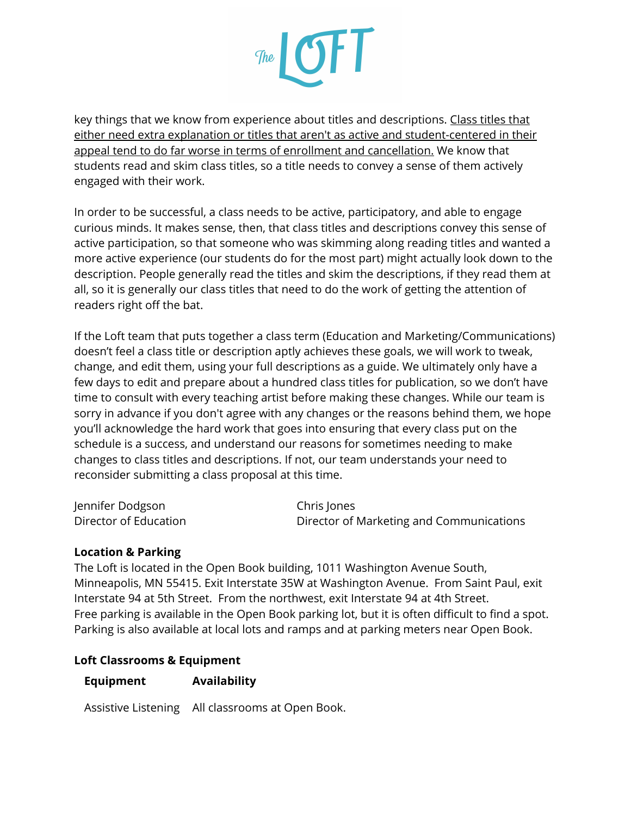# $\mathcal{F}_{\text{free}}$  of  $\blacksquare$

key things that we know from experience about titles and descriptions. Class titles that either need extra explanation or titles that aren't as active and student-centered in their appeal tend to do far worse in terms of enrollment and cancellation. We know that students read and skim class titles, so a title needs to convey a sense of them actively engaged with their work.

In order to be successful, a class needs to be active, participatory, and able to engage curious minds. It makes sense, then, that class titles and descriptions convey this sense of active participation, so that someone who was skimming along reading titles and wanted a more active experience (our students do for the most part) might actually look down to the description. People generally read the titles and skim the descriptions, if they read them at all, so it is generally our class titles that need to do the work of getting the attention of readers right off the bat.

If the Loft team that puts together a class term (Education and Marketing/Communications) doesn't feel a class title or description aptly achieves these goals, we will work to tweak, change, and edit them, using your full descriptions as a guide. We ultimately only have a few days to edit and prepare about a hundred class titles for publication, so we don't have time to consult with every teaching artist before making these changes. While our team is sorry in advance if you don't agree with any changes or the reasons behind them, we hope you'll acknowledge the hard work that goes into ensuring that every class put on the schedule is a success, and understand our reasons for sometimes needing to make changes to class titles and descriptions. If not, our team understands your need to reconsider submitting a class proposal at this time.

| Jennifer Dodgson      | Chris Jones                              |
|-----------------------|------------------------------------------|
| Director of Education | Director of Marketing and Communications |

#### **Location & Parking**

The Loft is located in the Open Book building, 1011 Washington Avenue South, Minneapolis, MN 55415. Exit Interstate 35W at Washington Avenue. From Saint Paul, exit Interstate 94 at 5th Street. From the northwest, exit Interstate 94 at 4th Street. Free parking is available in the Open Book parking lot, but it is often difficult to find a spot. Parking is also available at local lots and ramps and at parking meters near Open Book.

#### **Loft Classrooms & Equipment**

#### **Equipment Availability**

Assistive Listening All classrooms at Open Book.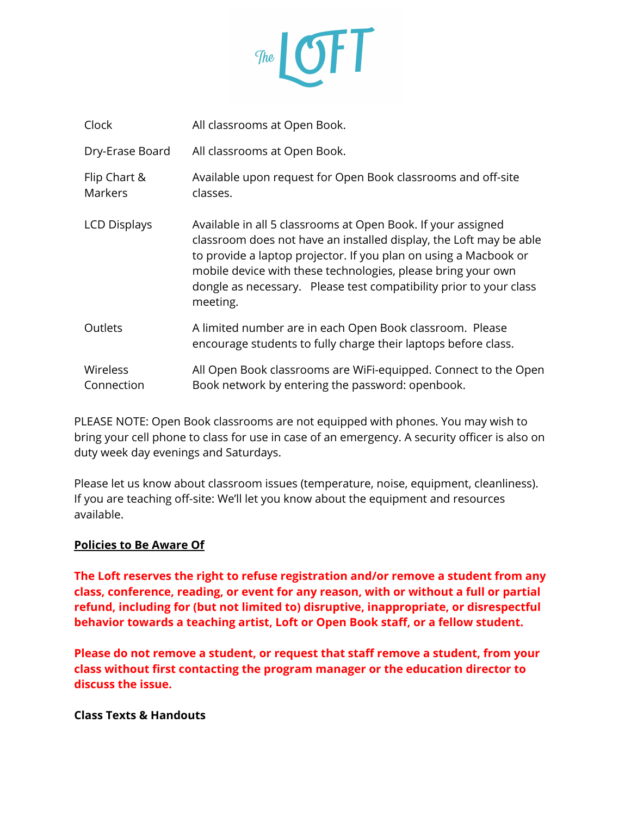

| Clock                          | All classrooms at Open Book.                                                                                                                                                                                                                                                                                                                             |
|--------------------------------|----------------------------------------------------------------------------------------------------------------------------------------------------------------------------------------------------------------------------------------------------------------------------------------------------------------------------------------------------------|
| Dry-Erase Board                | All classrooms at Open Book.                                                                                                                                                                                                                                                                                                                             |
| Flip Chart &<br><b>Markers</b> | Available upon request for Open Book classrooms and off-site<br>classes.                                                                                                                                                                                                                                                                                 |
| <b>LCD Displays</b>            | Available in all 5 classrooms at Open Book. If your assigned<br>classroom does not have an installed display, the Loft may be able<br>to provide a laptop projector. If you plan on using a Macbook or<br>mobile device with these technologies, please bring your own<br>dongle as necessary. Please test compatibility prior to your class<br>meeting. |
| Outlets                        | A limited number are in each Open Book classroom. Please<br>encourage students to fully charge their laptops before class.                                                                                                                                                                                                                               |
| <b>Wireless</b><br>Connection  | All Open Book classrooms are WiFi-equipped. Connect to the Open<br>Book network by entering the password: openbook.                                                                                                                                                                                                                                      |

PLEASE NOTE: Open Book classrooms are not equipped with phones. You may wish to bring your cell phone to class for use in case of an emergency. A security officer is also on duty week day evenings and Saturdays.

Please let us know about classroom issues (temperature, noise, equipment, cleanliness). If you are teaching off-site: We'll let you know about the equipment and resources available.

#### **Policies to Be Aware Of**

**The Loft reserves the right to refuse registration and/or remove a student from any class, conference, reading, or event for any reason, with or without a full or partial refund, including for (but not limited to) disruptive, inappropriate, or disrespectful behavior towards a teaching artist, Loft or Open Book staff, or a fellow student.**

**Please do not remove a student, or request that staff remove a student, from your class without first contacting the program manager or the education director to discuss the issue.**

**Class Texts & Handouts**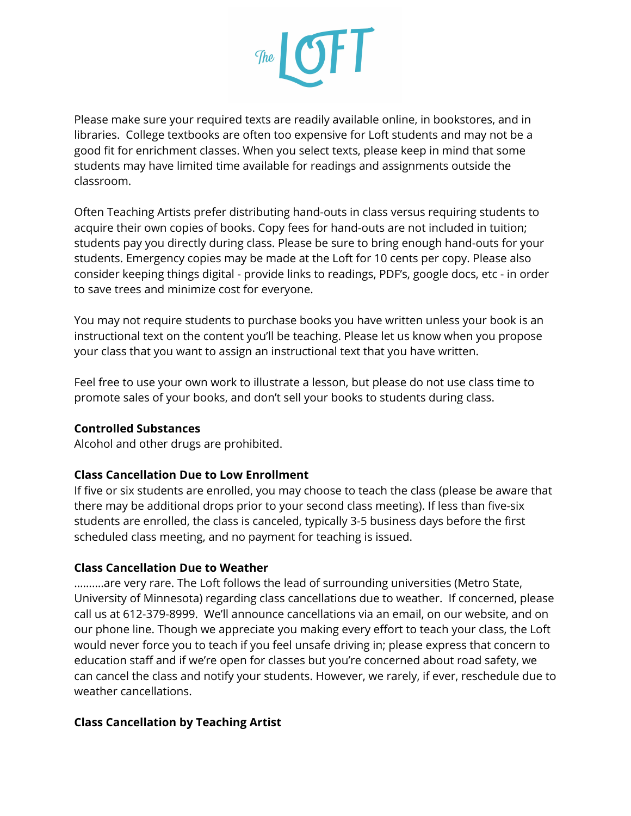

Please make sure your required texts are readily available online, in bookstores, and in libraries. College textbooks are often too expensive for Loft students and may not be a good fit for enrichment classes. When you select texts, please keep in mind that some students may have limited time available for readings and assignments outside the classroom.

Often Teaching Artists prefer distributing hand-outs in class versus requiring students to acquire their own copies of books. Copy fees for hand-outs are not included in tuition; students pay you directly during class. Please be sure to bring enough hand-outs for your students. Emergency copies may be made at the Loft for 10 cents per copy. Please also consider keeping things digital - provide links to readings, PDF's, google docs, etc - in order to save trees and minimize cost for everyone.

You may not require students to purchase books you have written unless your book is an instructional text on the content you'll be teaching. Please let us know when you propose your class that you want to assign an instructional text that you have written.

Feel free to use your own work to illustrate a lesson, but please do not use class time to promote sales of your books, and don't sell your books to students during class.

#### **Controlled Substances**

Alcohol and other drugs are prohibited.

#### **Class Cancellation Due to Low Enrollment**

If five or six students are enrolled, you may choose to teach the class (please be aware that there may be additional drops prior to your second class meeting). If less than five-six students are enrolled, the class is canceled, typically 3-5 business days before the first scheduled class meeting, and no payment for teaching is issued.

#### **Class Cancellation Due to Weather**

……….are very rare. The Loft follows the lead of surrounding universities (Metro State, University of Minnesota) regarding class cancellations due to weather. If concerned, please call us at 612-379-8999. We'll announce cancellations via an email, on our website, and on our phone line. Though we appreciate you making every effort to teach your class, the Loft would never force you to teach if you feel unsafe driving in; please express that concern to education staff and if we're open for classes but you're concerned about road safety, we can cancel the class and notify your students. However, we rarely, if ever, reschedule due to weather cancellations.

#### **Class Cancellation by Teaching Artist**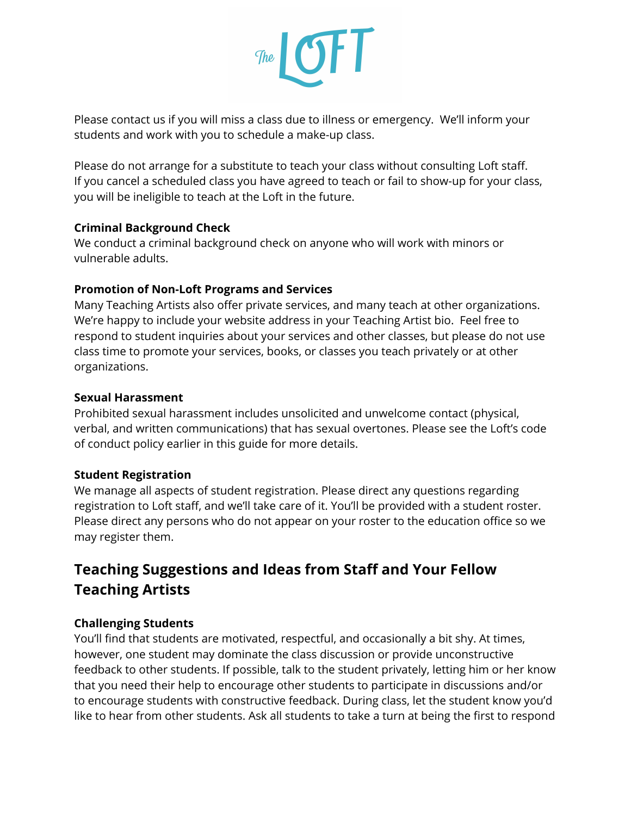

Please contact us if you will miss a class due to illness or emergency. We'll inform your students and work with you to schedule a make-up class.

Please do not arrange for a substitute to teach your class without consulting Loft staff. If you cancel a scheduled class you have agreed to teach or fail to show-up for your class, you will be ineligible to teach at the Loft in the future.

#### **Criminal Background Check**

We conduct a criminal background check on anyone who will work with minors or vulnerable adults.

#### **Promotion of Non-Loft Programs and Services**

Many Teaching Artists also offer private services, and many teach at other organizations. We're happy to include your website address in your Teaching Artist bio. Feel free to respond to student inquiries about your services and other classes, but please do not use class time to promote your services, books, or classes you teach privately or at other organizations.

#### **Sexual Harassment**

Prohibited sexual harassment includes unsolicited and unwelcome contact (physical, verbal, and written communications) that has sexual overtones. Please see the Loft's code of conduct policy earlier in this guide for more details.

#### **Student Registration**

We manage all aspects of student registration. Please direct any questions regarding registration to Loft staff, and we'll take care of it. You'll be provided with a student roster. Please direct any persons who do not appear on your roster to the education office so we may register them.

#### **Teaching Suggestions and Ideas from Staff and Your Fellow Teaching Artists**

#### **Challenging Students**

You'll find that students are motivated, respectful, and occasionally a bit shy. At times, however, one student may dominate the class discussion or provide unconstructive feedback to other students. If possible, talk to the student privately, letting him or her know that you need their help to encourage other students to participate in discussions and/or to encourage students with constructive feedback. During class, let the student know you'd like to hear from other students. Ask all students to take a turn at being the first to respond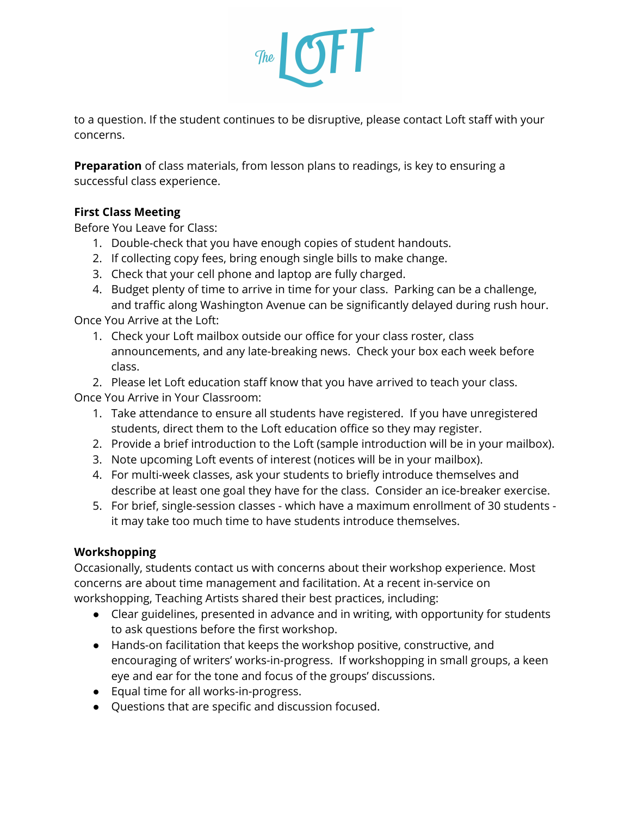

to a question. If the student continues to be disruptive, please contact Loft staff with your concerns.

**Preparation** of class materials, from lesson plans to readings, is key to ensuring a successful class experience.

#### **First Class Meeting**

Before You Leave for Class:

- 1. Double-check that you have enough copies of student handouts.
- 2. If collecting copy fees, bring enough single bills to make change.
- 3. Check that your cell phone and laptop are fully charged.
- 4. Budget plenty of time to arrive in time for your class. Parking can be a challenge, and traffic along Washington Avenue can be significantly delayed during rush hour.

Once You Arrive at the Loft:

1. Check your Loft mailbox outside our office for your class roster, class announcements, and any late-breaking news. Check your box each week before class.

2. Please let Loft education staff know that you have arrived to teach your class. Once You Arrive in Your Classroom:

- 1. Take attendance to ensure all students have registered. If you have unregistered students, direct them to the Loft education office so they may register.
- 2. Provide a brief introduction to the Loft (sample introduction will be in your mailbox).
- 3. Note upcoming Loft events of interest (notices will be in your mailbox).
- 4. For multi-week classes, ask your students to briefly introduce themselves and describe at least one goal they have for the class. Consider an ice-breaker exercise.
- 5. For brief, single-session classes which have a maximum enrollment of 30 students it may take too much time to have students introduce themselves.

#### **Workshopping**

Occasionally, students contact us with concerns about their workshop experience. Most concerns are about time management and facilitation. At a recent in-service on workshopping, Teaching Artists shared their best practices, including:

- Clear guidelines, presented in advance and in writing, with opportunity for students to ask questions before the first workshop.
- Hands-on facilitation that keeps the workshop positive, constructive, and encouraging of writers' works-in-progress. If workshopping in small groups, a keen eye and ear for the tone and focus of the groups' discussions.
- Equal time for all works-in-progress.
- Questions that are specific and discussion focused.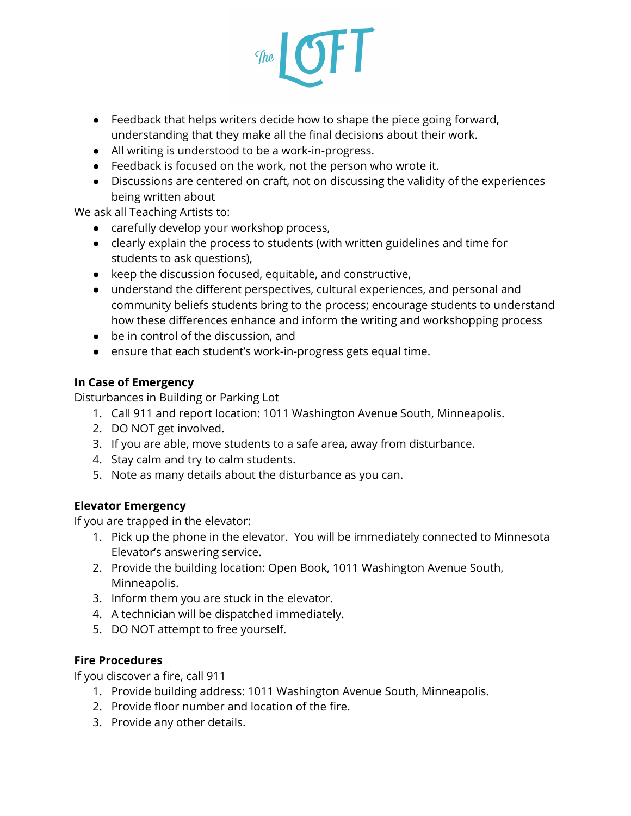

- Feedback that helps writers decide how to shape the piece going forward, understanding that they make all the final decisions about their work.
- All writing is understood to be a work-in-progress.
- Feedback is focused on the work, not the person who wrote it.
- Discussions are centered on craft, not on discussing the validity of the experiences being written about

We ask all Teaching Artists to:

- carefully develop your workshop process,
- clearly explain the process to students (with written guidelines and time for students to ask questions),
- keep the discussion focused, equitable, and constructive,
- understand the different perspectives, cultural experiences, and personal and community beliefs students bring to the process; encourage students to understand how these differences enhance and inform the writing and workshopping process
- be in control of the discussion, and
- ensure that each student's work-in-progress gets equal time.

#### **In Case of Emergency**

Disturbances in Building or Parking Lot

- 1. Call 911 and report location: 1011 Washington Avenue South, Minneapolis.
- 2. DO NOT get involved.
- 3. If you are able, move students to a safe area, away from disturbance.
- 4. Stay calm and try to calm students.
- 5. Note as many details about the disturbance as you can.

#### **Elevator Emergency**

If you are trapped in the elevator:

- 1. Pick up the phone in the elevator. You will be immediately connected to Minnesota Elevator's answering service.
- 2. Provide the building location: Open Book, 1011 Washington Avenue South, Minneapolis.
- 3. Inform them you are stuck in the elevator.
- 4. A technician will be dispatched immediately.
- 5. DO NOT attempt to free yourself.

#### **Fire Procedures**

If you discover a fire, call 911

- 1. Provide building address: 1011 Washington Avenue South, Minneapolis.
- 2. Provide floor number and location of the fire.
- 3. Provide any other details.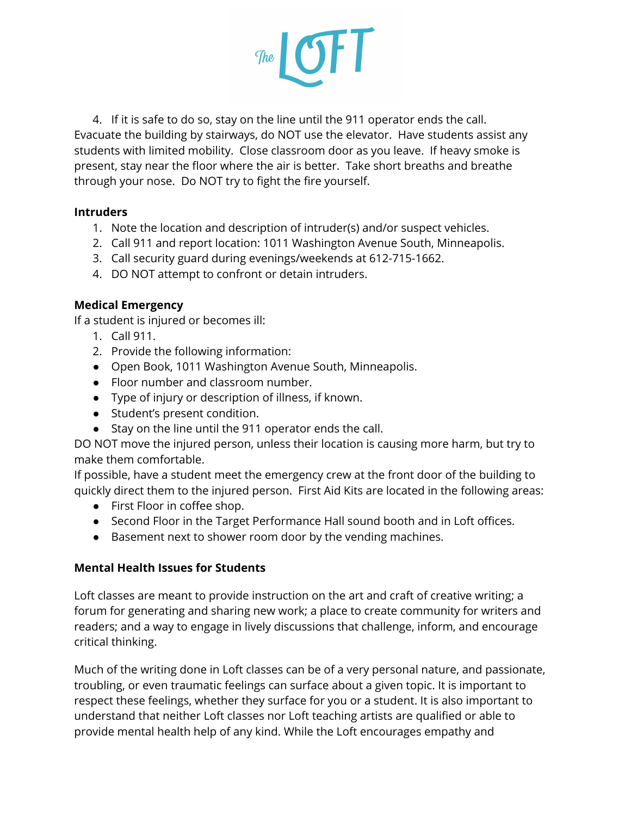

4. If it is safe to do so, stay on the line until the 911 operator ends the call. Evacuate the building by stairways, do NOT use the elevator. Have students assist any students with limited mobility. Close classroom door as you leave. If heavy smoke is present, stay near the floor where the air is better. Take short breaths and breathe through your nose. Do NOT try to fight the fire yourself.

#### **Intruders**

- 1. Note the location and description of intruder(s) and/or suspect vehicles.
- 2. Call 911 and report location: 1011 Washington Avenue South, Minneapolis.
- 3. Call security guard during evenings/weekends at 612-715-1662.
- 4. DO NOT attempt to confront or detain intruders.

#### **Medical Emergency**

If a student is injured or becomes ill:

- 1. Call 911.
- 2. Provide the following information:
- Open Book, 1011 Washington Avenue South, Minneapolis.
- Floor number and classroom number.
- Type of injury or description of illness, if known.
- Student's present condition.
- Stay on the line until the 911 operator ends the call.

DO NOT move the injured person, unless their location is causing more harm, but try to make them comfortable.

If possible, have a student meet the emergency crew at the front door of the building to quickly direct them to the injured person. First Aid Kits are located in the following areas:

- First Floor in coffee shop.
- Second Floor in the Target Performance Hall sound booth and in Loft offices.
- Basement next to shower room door by the vending machines.

#### **Mental Health Issues for Students**

Loft classes are meant to provide instruction on the art and craft of creative writing; a forum for generating and sharing new work; a place to create community for writers and readers; and a way to engage in lively discussions that challenge, inform, and encourage critical thinking.

Much of the writing done in Loft classes can be of a very personal nature, and passionate, troubling, or even traumatic feelings can surface about a given topic. It is important to respect these feelings, whether they surface for you or a student. It is also important to understand that neither Loft classes nor Loft teaching artists are qualified or able to provide mental health help of any kind. While the Loft encourages empathy and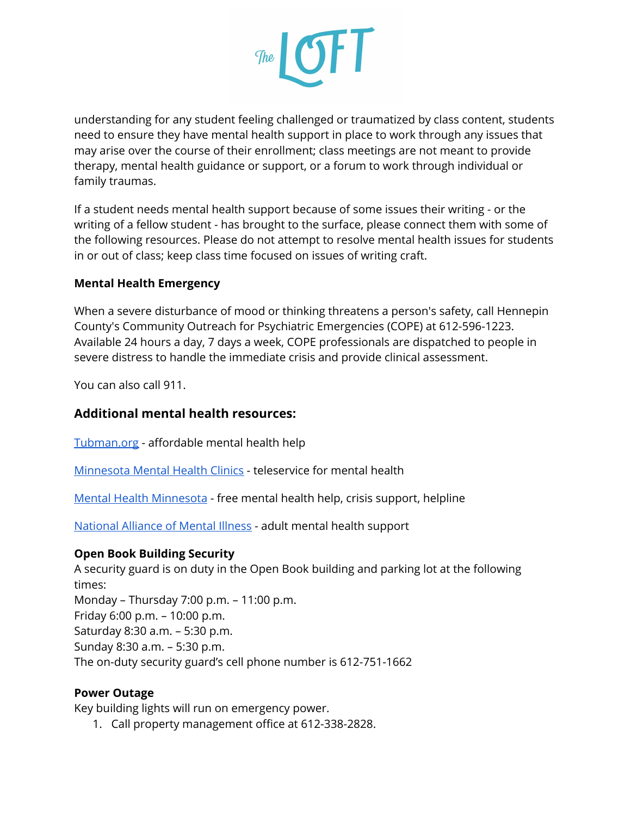

understanding for any student feeling challenged or traumatized by class content, students need to ensure they have mental health support in place to work through any issues that may arise over the course of their enrollment; class meetings are not meant to provide therapy, mental health guidance or support, or a forum to work through individual or family traumas.

If a student needs mental health support because of some issues their writing - or the writing of a fellow student - has brought to the surface, please connect them with some of the following resources. Please do not attempt to resolve mental health issues for students in or out of class; keep class time focused on issues of writing craft.

#### **Mental Health Emergency**

When a severe disturbance of mood or thinking threatens a person's safety, call Hennepin County's Community Outreach for Psychiatric Emergencies (COPE) at 612-596-1223. Available 24 hours a day, 7 days a week, COPE professionals are dispatched to people in severe distress to handle the immediate crisis and provide clinical assessment.

You can also call 911.

#### **Additional mental health resources:**

[Tubman.org](https://www.tubman.org/get-help/mental-chemical-health/mental-health.html) - affordable mental health help

[Minnesota](https://mnmentalhealthclinics.com/) Mental Health Clinics - teleservice for mental health

Mental Health [Minnesota](https://mentalhealthmn.org/support/free-mental-health-support/) - free mental health help, crisis support, helpline

[National](https://namimn.org/support/resources/general-mental-health-resources/) Alliance of Mental Illness - adult mental health support

#### **Open Book Building Security**

A security guard is on duty in the Open Book building and parking lot at the following times: Monday – Thursday 7:00 p.m. – 11:00 p.m. Friday 6:00 p.m. – 10:00 p.m. Saturday 8:30 a.m. – 5:30 p.m. Sunday 8:30 a.m. – 5:30 p.m. The on-duty security guard's cell phone number is 612-751-1662

#### **Power Outage**

Key building lights will run on emergency power.

1. Call property management office at 612-338-2828.